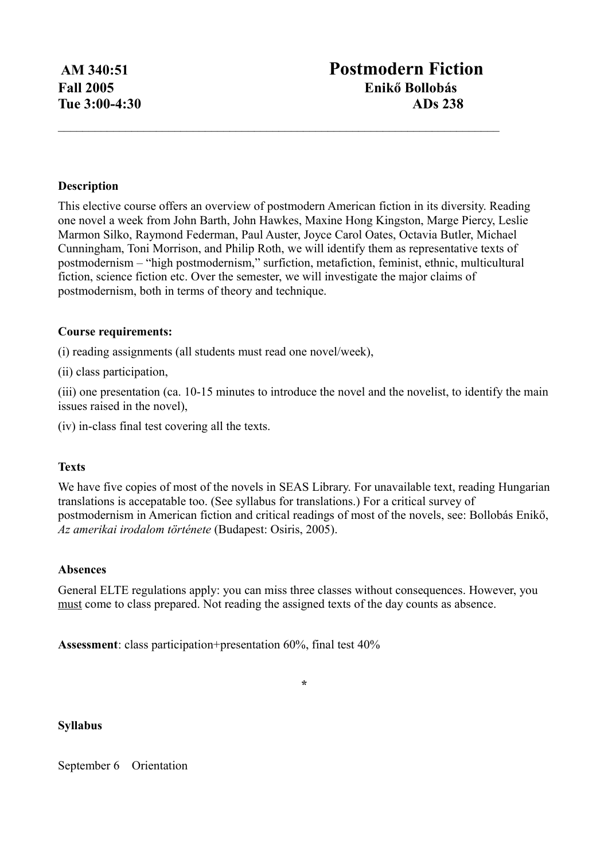# **Description**

This elective course offers an overview of postmodern American fiction in its diversity. Reading one novel a week from John Barth, John Hawkes, Maxine Hong Kingston, Marge Piercy, Leslie Marmon Silko, Raymond Federman, Paul Auster, Joyce Carol Oates, Octavia Butler, Michael Cunningham, Toni Morrison, and Philip Roth, we will identify them as representative texts of postmodernism – "high postmodernism," surfiction, metafiction, feminist, ethnic, multicultural fiction, science fiction etc. Over the semester, we will investigate the major claims of postmodernism, both in terms of theory and technique.

 $\mathcal{L}_\mathcal{L} = \{ \mathcal{L}_\mathcal{L} = \{ \mathcal{L}_\mathcal{L} = \{ \mathcal{L}_\mathcal{L} = \{ \mathcal{L}_\mathcal{L} = \{ \mathcal{L}_\mathcal{L} = \{ \mathcal{L}_\mathcal{L} = \{ \mathcal{L}_\mathcal{L} = \{ \mathcal{L}_\mathcal{L} = \{ \mathcal{L}_\mathcal{L} = \{ \mathcal{L}_\mathcal{L} = \{ \mathcal{L}_\mathcal{L} = \{ \mathcal{L}_\mathcal{L} = \{ \mathcal{L}_\mathcal{L} = \{ \mathcal{L}_\mathcal{$ 

#### **Course requirements:**

(i) reading assignments (all students must read one novel/week),

(ii) class participation,

(iii) one presentation (ca. 10-15 minutes to introduce the novel and the novelist, to identify the main issues raised in the novel),

(iv) in-class final test covering all the texts.

## **Texts**

We have five copies of most of the novels in SEAS Library. For unavailable text, reading Hungarian translations is accepatable too. (See syllabus for translations.) For a critical survey of postmodernism in American fiction and critical readings of most of the novels, see: Bollobás Enikő, *Az amerikai irodalom története* (Budapest: Osiris, 2005).

## **Absences**

General ELTE regulations apply: you can miss three classes without consequences. However, you must come to class prepared. Not reading the assigned texts of the day counts as absence.

**\***

**Assessment**: class participation+presentation 60%, final test 40%

#### **Syllabus**

September 6 Orientation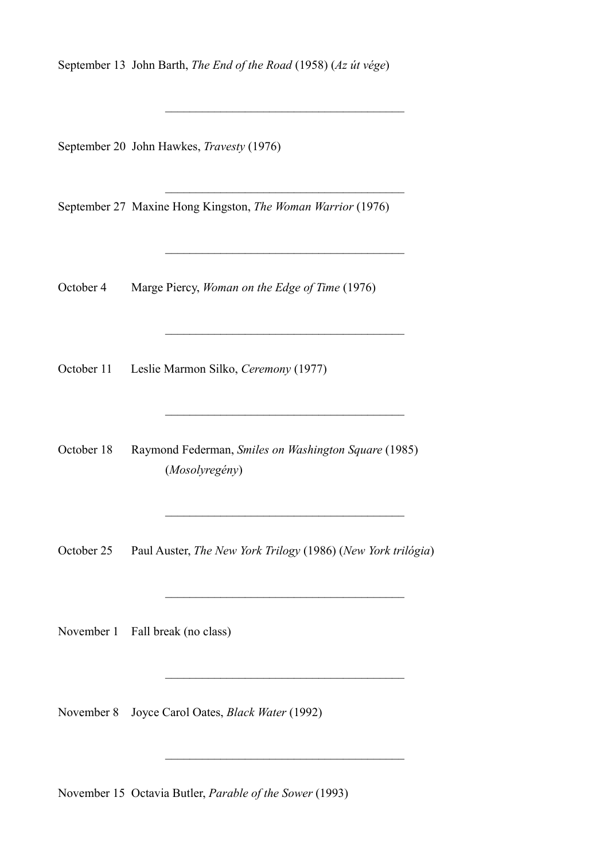September 13 John Barth, *The End of the Road* (1958) (*Az út vége*)

 $\mathcal{L}_\text{max}$ 

 $\overline{\phantom{a}}$  ,  $\overline{\phantom{a}}$  ,  $\overline{\phantom{a}}$  ,  $\overline{\phantom{a}}$  ,  $\overline{\phantom{a}}$  ,  $\overline{\phantom{a}}$  ,  $\overline{\phantom{a}}$  ,  $\overline{\phantom{a}}$  ,  $\overline{\phantom{a}}$  ,  $\overline{\phantom{a}}$  ,  $\overline{\phantom{a}}$  ,  $\overline{\phantom{a}}$  ,  $\overline{\phantom{a}}$  ,  $\overline{\phantom{a}}$  ,  $\overline{\phantom{a}}$  ,  $\overline{\phantom{a}}$ 

 $\overline{\phantom{a}}$  ,  $\overline{\phantom{a}}$  ,  $\overline{\phantom{a}}$  ,  $\overline{\phantom{a}}$  ,  $\overline{\phantom{a}}$  ,  $\overline{\phantom{a}}$  ,  $\overline{\phantom{a}}$  ,  $\overline{\phantom{a}}$  ,  $\overline{\phantom{a}}$  ,  $\overline{\phantom{a}}$  ,  $\overline{\phantom{a}}$  ,  $\overline{\phantom{a}}$  ,  $\overline{\phantom{a}}$  ,  $\overline{\phantom{a}}$  ,  $\overline{\phantom{a}}$  ,  $\overline{\phantom{a}}$ 

 $\mathcal{L}_\text{max}$ 

 $\overline{\phantom{a}}$  ,  $\overline{\phantom{a}}$  ,  $\overline{\phantom{a}}$  ,  $\overline{\phantom{a}}$  ,  $\overline{\phantom{a}}$  ,  $\overline{\phantom{a}}$  ,  $\overline{\phantom{a}}$  ,  $\overline{\phantom{a}}$  ,  $\overline{\phantom{a}}$  ,  $\overline{\phantom{a}}$  ,  $\overline{\phantom{a}}$  ,  $\overline{\phantom{a}}$  ,  $\overline{\phantom{a}}$  ,  $\overline{\phantom{a}}$  ,  $\overline{\phantom{a}}$  ,  $\overline{\phantom{a}}$ 

 $\overline{\phantom{a}}$  ,  $\overline{\phantom{a}}$  ,  $\overline{\phantom{a}}$  ,  $\overline{\phantom{a}}$  ,  $\overline{\phantom{a}}$  ,  $\overline{\phantom{a}}$  ,  $\overline{\phantom{a}}$  ,  $\overline{\phantom{a}}$  ,  $\overline{\phantom{a}}$  ,  $\overline{\phantom{a}}$  ,  $\overline{\phantom{a}}$  ,  $\overline{\phantom{a}}$  ,  $\overline{\phantom{a}}$  ,  $\overline{\phantom{a}}$  ,  $\overline{\phantom{a}}$  ,  $\overline{\phantom{a}}$ 

 $\overline{\phantom{a}}$  ,  $\overline{\phantom{a}}$  ,  $\overline{\phantom{a}}$  ,  $\overline{\phantom{a}}$  ,  $\overline{\phantom{a}}$  ,  $\overline{\phantom{a}}$  ,  $\overline{\phantom{a}}$  ,  $\overline{\phantom{a}}$  ,  $\overline{\phantom{a}}$  ,  $\overline{\phantom{a}}$  ,  $\overline{\phantom{a}}$  ,  $\overline{\phantom{a}}$  ,  $\overline{\phantom{a}}$  ,  $\overline{\phantom{a}}$  ,  $\overline{\phantom{a}}$  ,  $\overline{\phantom{a}}$ 

 $\mathcal{L}_\text{max}$ 

 $\mathcal{L}_\text{max}$  and  $\mathcal{L}_\text{max}$  and  $\mathcal{L}_\text{max}$  and  $\mathcal{L}_\text{max}$ 

September 20 John Hawkes, *Travesty* (1976)

September 27 Maxine Hong Kingston, *The Woman Warrior* (1976)

October 4 Marge Piercy, *Woman on the Edge of Time* (1976)

October 11 Leslie Marmon Silko, *Ceremony* (1977)

October 18 Raymond Federman, *Smiles on Washington Square* (1985) (*Mosolyregény*)

October 25 Paul Auster, *The New York Trilogy* (1986) (*New York trilógia*)

November 1 Fall break (no class)

November 8 Joyce Carol Oates, *Black Water* (1992)

November 15 Octavia Butler, *Parable of the Sower* (1993)